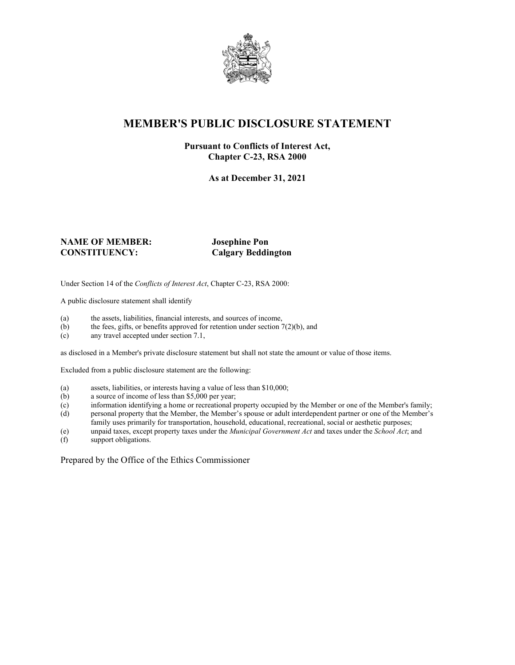

# **MEMBER'S PUBLIC DISCLOSURE STATEMENT**

#### **Pursuant to Conflicts of Interest Act, Chapter C-23, RSA 2000**

**As at December 31, 2021**

#### **NAME OF MEMBER: Josephine Pon CONSTITUENCY: Calgary Beddington**

Under Section 14 of the *Conflicts of Interest Act*, Chapter C-23, RSA 2000:

A public disclosure statement shall identify

- (a) the assets, liabilities, financial interests, and sources of income,  $(b)$  the fees, gifts, or benefits approved for retention under section 7
- the fees, gifts, or benefits approved for retention under section  $7(2)(b)$ , and
- (c) any travel accepted under section 7.1,

as disclosed in a Member's private disclosure statement but shall not state the amount or value of those items.

Excluded from a public disclosure statement are the following:

- (a) assets, liabilities, or interests having a value of less than \$10,000;<br>(b) a source of income of less than \$5,000 per year;
- a source of income of less than  $$5,000$  per year;
- (c) information identifying a home or recreational property occupied by the Member or one of the Member's family;
- (d) personal property that the Member, the Member's spouse or adult interdependent partner or one of the Member's family uses primarily for transportation, household, educational, recreational, social or aesthetic purposes;
- (e) unpaid taxes, except property taxes under the *Municipal Government Act* and taxes under the *School Act*; and
- (f) support obligations.

Prepared by the Office of the Ethics Commissioner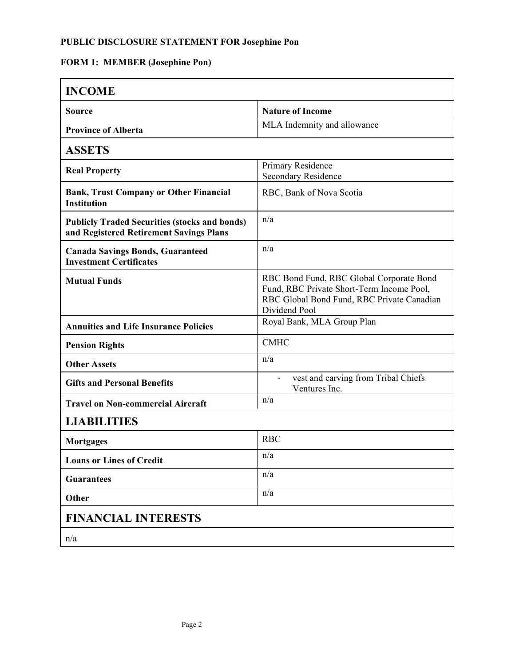## **PUBLIC DISCLOSURE STATEMENT FOR Josephine Pon**

# **FORM 1: MEMBER (Josephine Pon)**

| <b>INCOME</b>                                                                                   |                                                                                                                                                      |
|-------------------------------------------------------------------------------------------------|------------------------------------------------------------------------------------------------------------------------------------------------------|
| <b>Source</b>                                                                                   | <b>Nature of Income</b>                                                                                                                              |
| <b>Province of Alberta</b>                                                                      | MLA Indemnity and allowance                                                                                                                          |
| <b>ASSETS</b>                                                                                   |                                                                                                                                                      |
| <b>Real Property</b>                                                                            | Primary Residence<br>Secondary Residence                                                                                                             |
| <b>Bank, Trust Company or Other Financial</b><br><b>Institution</b>                             | RBC, Bank of Nova Scotia                                                                                                                             |
| <b>Publicly Traded Securities (stocks and bonds)</b><br>and Registered Retirement Savings Plans | n/a                                                                                                                                                  |
| <b>Canada Savings Bonds, Guaranteed</b><br><b>Investment Certificates</b>                       | n/a                                                                                                                                                  |
| <b>Mutual Funds</b>                                                                             | RBC Bond Fund, RBC Global Corporate Bond<br>Fund, RBC Private Short-Term Income Pool,<br>RBC Global Bond Fund, RBC Private Canadian<br>Dividend Pool |
| <b>Annuities and Life Insurance Policies</b>                                                    | Royal Bank, MLA Group Plan                                                                                                                           |
| <b>Pension Rights</b>                                                                           | <b>CMHC</b>                                                                                                                                          |
| <b>Other Assets</b>                                                                             | n/a                                                                                                                                                  |
| <b>Gifts and Personal Benefits</b>                                                              | vest and carving from Tribal Chiefs<br>Ventures Inc.                                                                                                 |
| <b>Travel on Non-commercial Aircraft</b>                                                        | n/a                                                                                                                                                  |
| <b>LIABILITIES</b>                                                                              |                                                                                                                                                      |
| Mortgages                                                                                       | <b>RBC</b>                                                                                                                                           |
| <b>Loans or Lines of Credit</b>                                                                 | n/a                                                                                                                                                  |
| <b>Guarantees</b>                                                                               | n/a                                                                                                                                                  |
| Other                                                                                           | n/a                                                                                                                                                  |
| <b>FINANCIAL INTERESTS</b>                                                                      |                                                                                                                                                      |
| n/a                                                                                             |                                                                                                                                                      |